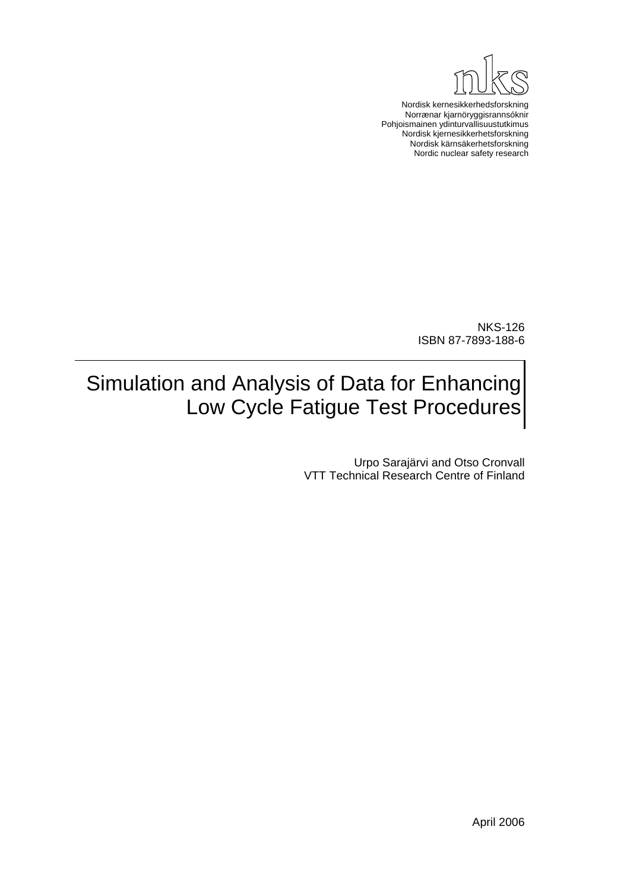

Nordisk kernesikkerhedsforskning Norrænar kjarnöryggisrannsóknir Pohjoismainen ydinturvallisuustutkimus Nordisk kjernesikkerhetsforskning Nordisk kärnsäkerhetsforskning Nordic nuclear safety research

> NKS-126 ISBN 87-7893-188-6

# Simulation and Analysis of Data for Enhancing Low Cycle Fatigue Test Procedures

Urpo Sarajärvi and Otso Cronvall VTT Technical Research Centre of Finland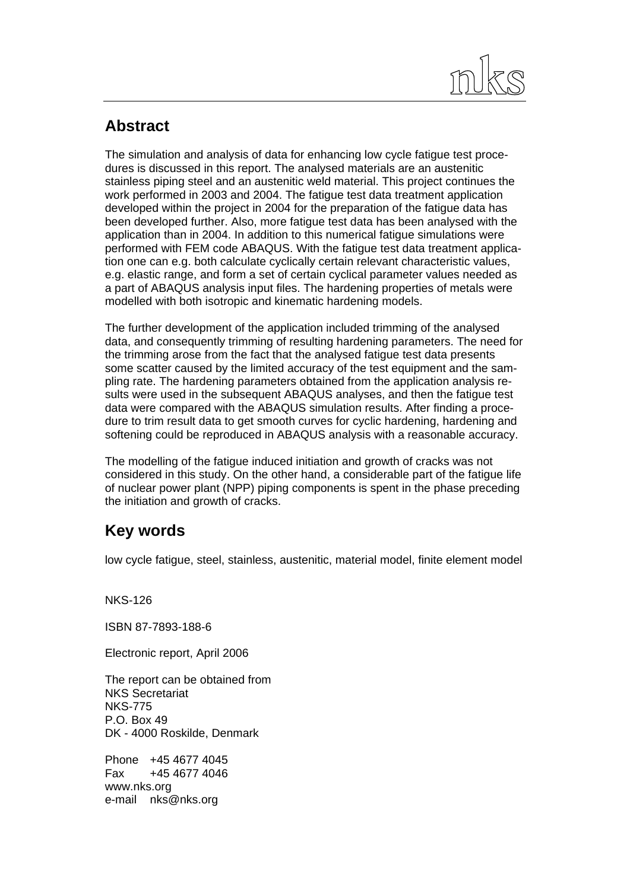

### **Abstract**

The simulation and analysis of data for enhancing low cycle fatigue test procedures is discussed in this report. The analysed materials are an austenitic stainless piping steel and an austenitic weld material. This project continues the work performed in 2003 and 2004. The fatigue test data treatment application developed within the project in 2004 for the preparation of the fatigue data has been developed further. Also, more fatigue test data has been analysed with the application than in 2004. In addition to this numerical fatigue simulations were performed with FEM code ABAQUS. With the fatigue test data treatment application one can e.g. both calculate cyclically certain relevant characteristic values, e.g. elastic range, and form a set of certain cyclical parameter values needed as a part of ABAQUS analysis input files. The hardening properties of metals were modelled with both isotropic and kinematic hardening models.

The further development of the application included trimming of the analysed data, and consequently trimming of resulting hardening parameters. The need for the trimming arose from the fact that the analysed fatigue test data presents some scatter caused by the limited accuracy of the test equipment and the sampling rate. The hardening parameters obtained from the application analysis results were used in the subsequent ABAQUS analyses, and then the fatigue test data were compared with the ABAQUS simulation results. After finding a procedure to trim result data to get smooth curves for cyclic hardening, hardening and softening could be reproduced in ABAQUS analysis with a reasonable accuracy.

The modelling of the fatigue induced initiation and growth of cracks was not considered in this study. On the other hand, a considerable part of the fatigue life of nuclear power plant (NPP) piping components is spent in the phase preceding the initiation and growth of cracks.

### **Key words**

low cycle fatigue, steel, stainless, austenitic, material model, finite element model

NKS-126

ISBN 87-7893-188-6

Electronic report, April 2006

The report can be obtained from NKS Secretariat NKS-775 P.O. Box 49 DK - 4000 Roskilde, Denmark

Phone +45 4677 4045 Fax +45 4677 4046 www.nks.org e-mail nks@nks.org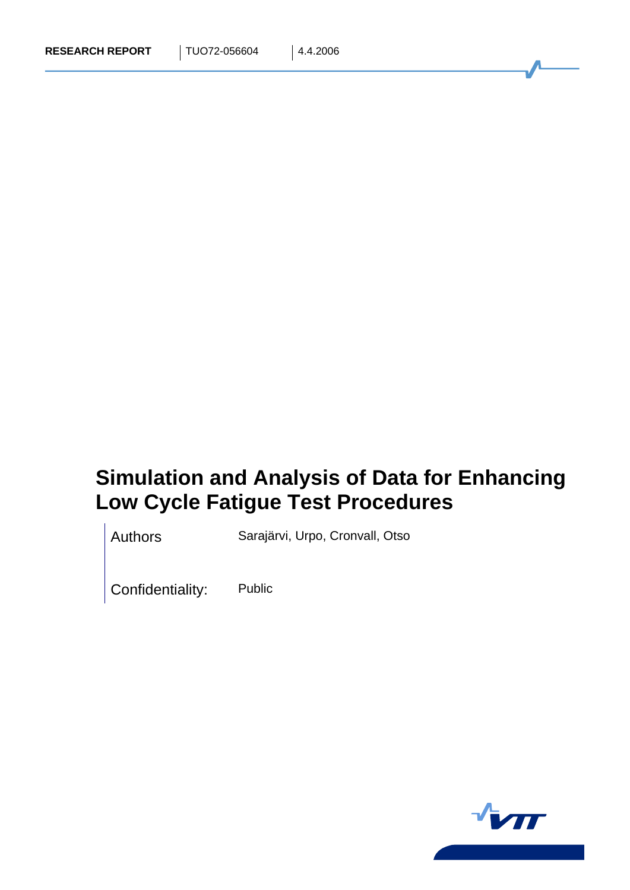# **Simulation and Analysis of Data for Enhancing Low Cycle Fatigue Test Procedures**

Authors Sarajärvi, Urpo, Cronvall, Otso

Confidentiality: Public

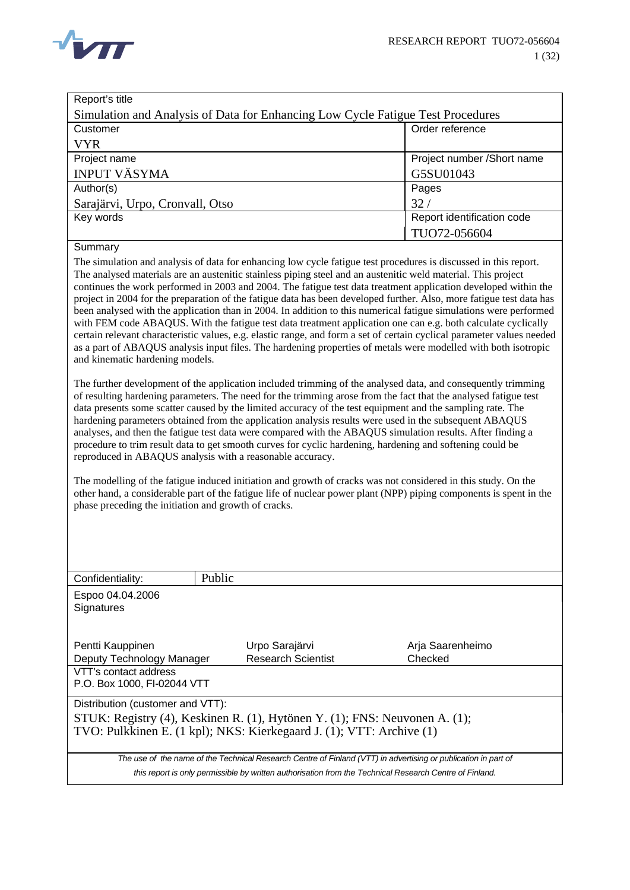

| Report's title                                                                                                                                                                                                                                                                                                                                                                                                                                                                                                                                                                                                                                                                                                                                                                                                                                                                                                                                                                                                                                                                                                                                                                                                                                                                                                                                                                                                                                                                                                                                                                                                                                                                                                                                                                                                                                                                                                                                                                                                                                                 |                                             |                             |  |  |
|----------------------------------------------------------------------------------------------------------------------------------------------------------------------------------------------------------------------------------------------------------------------------------------------------------------------------------------------------------------------------------------------------------------------------------------------------------------------------------------------------------------------------------------------------------------------------------------------------------------------------------------------------------------------------------------------------------------------------------------------------------------------------------------------------------------------------------------------------------------------------------------------------------------------------------------------------------------------------------------------------------------------------------------------------------------------------------------------------------------------------------------------------------------------------------------------------------------------------------------------------------------------------------------------------------------------------------------------------------------------------------------------------------------------------------------------------------------------------------------------------------------------------------------------------------------------------------------------------------------------------------------------------------------------------------------------------------------------------------------------------------------------------------------------------------------------------------------------------------------------------------------------------------------------------------------------------------------------------------------------------------------------------------------------------------------|---------------------------------------------|-----------------------------|--|--|
| Simulation and Analysis of Data for Enhancing Low Cycle Fatigue Test Procedures                                                                                                                                                                                                                                                                                                                                                                                                                                                                                                                                                                                                                                                                                                                                                                                                                                                                                                                                                                                                                                                                                                                                                                                                                                                                                                                                                                                                                                                                                                                                                                                                                                                                                                                                                                                                                                                                                                                                                                                |                                             |                             |  |  |
| Customer                                                                                                                                                                                                                                                                                                                                                                                                                                                                                                                                                                                                                                                                                                                                                                                                                                                                                                                                                                                                                                                                                                                                                                                                                                                                                                                                                                                                                                                                                                                                                                                                                                                                                                                                                                                                                                                                                                                                                                                                                                                       | Order reference                             |                             |  |  |
| <b>VYR</b>                                                                                                                                                                                                                                                                                                                                                                                                                                                                                                                                                                                                                                                                                                                                                                                                                                                                                                                                                                                                                                                                                                                                                                                                                                                                                                                                                                                                                                                                                                                                                                                                                                                                                                                                                                                                                                                                                                                                                                                                                                                     |                                             |                             |  |  |
| Project name                                                                                                                                                                                                                                                                                                                                                                                                                                                                                                                                                                                                                                                                                                                                                                                                                                                                                                                                                                                                                                                                                                                                                                                                                                                                                                                                                                                                                                                                                                                                                                                                                                                                                                                                                                                                                                                                                                                                                                                                                                                   |                                             | Project number /Short name  |  |  |
| <b>INPUT VÄSYMA</b>                                                                                                                                                                                                                                                                                                                                                                                                                                                                                                                                                                                                                                                                                                                                                                                                                                                                                                                                                                                                                                                                                                                                                                                                                                                                                                                                                                                                                                                                                                                                                                                                                                                                                                                                                                                                                                                                                                                                                                                                                                            |                                             | G5SU01043                   |  |  |
| Author(s)                                                                                                                                                                                                                                                                                                                                                                                                                                                                                                                                                                                                                                                                                                                                                                                                                                                                                                                                                                                                                                                                                                                                                                                                                                                                                                                                                                                                                                                                                                                                                                                                                                                                                                                                                                                                                                                                                                                                                                                                                                                      |                                             | Pages                       |  |  |
| Sarajärvi, Urpo, Cronvall, Otso                                                                                                                                                                                                                                                                                                                                                                                                                                                                                                                                                                                                                                                                                                                                                                                                                                                                                                                                                                                                                                                                                                                                                                                                                                                                                                                                                                                                                                                                                                                                                                                                                                                                                                                                                                                                                                                                                                                                                                                                                                |                                             | 32/                         |  |  |
| Key words                                                                                                                                                                                                                                                                                                                                                                                                                                                                                                                                                                                                                                                                                                                                                                                                                                                                                                                                                                                                                                                                                                                                                                                                                                                                                                                                                                                                                                                                                                                                                                                                                                                                                                                                                                                                                                                                                                                                                                                                                                                      |                                             | Report identification code  |  |  |
|                                                                                                                                                                                                                                                                                                                                                                                                                                                                                                                                                                                                                                                                                                                                                                                                                                                                                                                                                                                                                                                                                                                                                                                                                                                                                                                                                                                                                                                                                                                                                                                                                                                                                                                                                                                                                                                                                                                                                                                                                                                                |                                             | TUO72-056604                |  |  |
|                                                                                                                                                                                                                                                                                                                                                                                                                                                                                                                                                                                                                                                                                                                                                                                                                                                                                                                                                                                                                                                                                                                                                                                                                                                                                                                                                                                                                                                                                                                                                                                                                                                                                                                                                                                                                                                                                                                                                                                                                                                                |                                             |                             |  |  |
| Summary<br>The simulation and analysis of data for enhancing low cycle fatigue test procedures is discussed in this report.<br>The analysed materials are an austenitic stainless piping steel and an austenitic weld material. This project<br>continues the work performed in 2003 and 2004. The fatigue test data treatment application developed within the<br>project in 2004 for the preparation of the fatigue data has been developed further. Also, more fatigue test data has<br>been analysed with the application than in 2004. In addition to this numerical fatigue simulations were performed<br>with FEM code ABAQUS. With the fatigue test data treatment application one can e.g. both calculate cyclically<br>certain relevant characteristic values, e.g. elastic range, and form a set of certain cyclical parameter values needed<br>as a part of ABAQUS analysis input files. The hardening properties of metals were modelled with both isotropic<br>and kinematic hardening models.<br>The further development of the application included trimming of the analysed data, and consequently trimming<br>of resulting hardening parameters. The need for the trimming arose from the fact that the analysed fatigue test<br>data presents some scatter caused by the limited accuracy of the test equipment and the sampling rate. The<br>hardening parameters obtained from the application analysis results were used in the subsequent ABAQUS<br>analyses, and then the fatigue test data were compared with the ABAQUS simulation results. After finding a<br>procedure to trim result data to get smooth curves for cyclic hardening, hardening and softening could be<br>reproduced in ABAQUS analysis with a reasonable accuracy.<br>The modelling of the fatigue induced initiation and growth of cracks was not considered in this study. On the<br>other hand, a considerable part of the fatigue life of nuclear power plant (NPP) piping components is spent in the<br>phase preceding the initiation and growth of cracks. |                                             |                             |  |  |
| Confidentiality:                                                                                                                                                                                                                                                                                                                                                                                                                                                                                                                                                                                                                                                                                                                                                                                                                                                                                                                                                                                                                                                                                                                                                                                                                                                                                                                                                                                                                                                                                                                                                                                                                                                                                                                                                                                                                                                                                                                                                                                                                                               | Public                                      |                             |  |  |
| Espoo 04.04.2006<br>Signatures                                                                                                                                                                                                                                                                                                                                                                                                                                                                                                                                                                                                                                                                                                                                                                                                                                                                                                                                                                                                                                                                                                                                                                                                                                                                                                                                                                                                                                                                                                                                                                                                                                                                                                                                                                                                                                                                                                                                                                                                                                 |                                             |                             |  |  |
| Pentti Kauppinen<br>Deputy Technology Manager                                                                                                                                                                                                                                                                                                                                                                                                                                                                                                                                                                                                                                                                                                                                                                                                                                                                                                                                                                                                                                                                                                                                                                                                                                                                                                                                                                                                                                                                                                                                                                                                                                                                                                                                                                                                                                                                                                                                                                                                                  | Urpo Sarajärvi<br><b>Research Scientist</b> | Arja Saarenheimo<br>Checked |  |  |
| VTT's contact address<br>P.O. Box 1000, FI-02044 VTT                                                                                                                                                                                                                                                                                                                                                                                                                                                                                                                                                                                                                                                                                                                                                                                                                                                                                                                                                                                                                                                                                                                                                                                                                                                                                                                                                                                                                                                                                                                                                                                                                                                                                                                                                                                                                                                                                                                                                                                                           |                                             |                             |  |  |
| Distribution (customer and VTT):<br>STUK: Registry (4), Keskinen R. (1), Hytönen Y. (1); FNS: Neuvonen A. (1);<br>TVO: Pulkkinen E. (1 kpl); NKS: Kierkegaard J. (1); VTT: Archive (1)                                                                                                                                                                                                                                                                                                                                                                                                                                                                                                                                                                                                                                                                                                                                                                                                                                                                                                                                                                                                                                                                                                                                                                                                                                                                                                                                                                                                                                                                                                                                                                                                                                                                                                                                                                                                                                                                         |                                             |                             |  |  |
| The use of the name of the Technical Research Centre of Finland (VTT) in advertising or publication in part of<br>this report is only permissible by written authorisation from the Technical Research Centre of Finland.                                                                                                                                                                                                                                                                                                                                                                                                                                                                                                                                                                                                                                                                                                                                                                                                                                                                                                                                                                                                                                                                                                                                                                                                                                                                                                                                                                                                                                                                                                                                                                                                                                                                                                                                                                                                                                      |                                             |                             |  |  |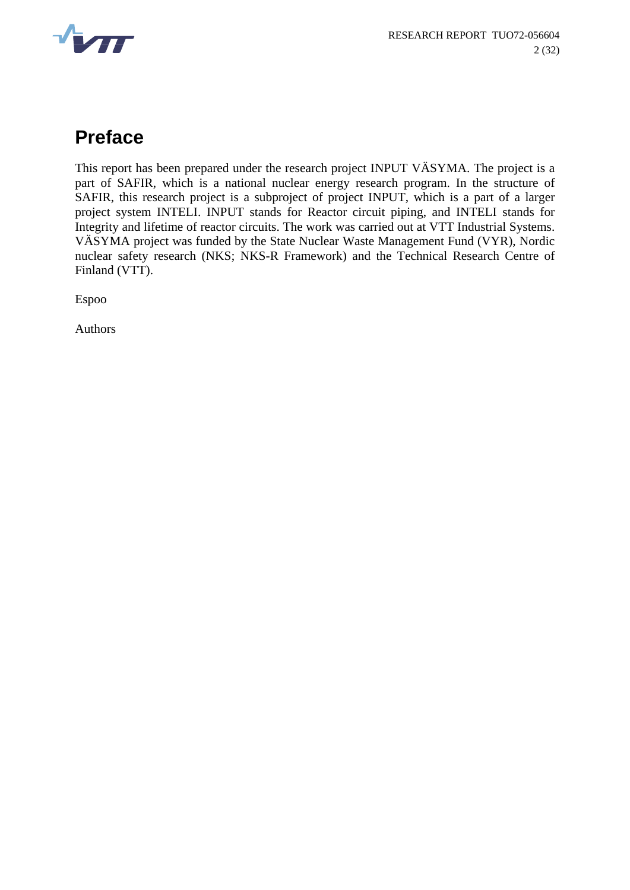

## **Preface**

This report has been prepared under the research project INPUT VÄSYMA. The project is a part of SAFIR, which is a national nuclear energy research program. In the structure of SAFIR, this research project is a subproject of project INPUT, which is a part of a larger project system INTELI. INPUT stands for Reactor circuit piping, and INTELI stands for Integrity and lifetime of reactor circuits. The work was carried out at VTT Industrial Systems. VÄSYMA project was funded by the State Nuclear Waste Management Fund (VYR), Nordic nuclear safety research (NKS; NKS-R Framework) and the Technical Research Centre of Finland (VTT).

Espoo

Authors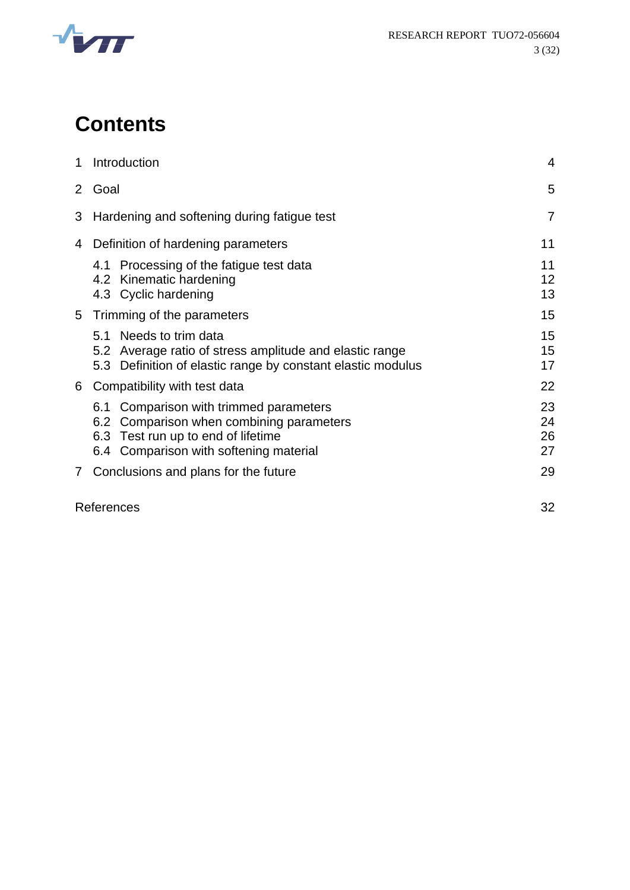

# **Contents**

| 1              | Introduction                                                                                                                                                                   |                      |
|----------------|--------------------------------------------------------------------------------------------------------------------------------------------------------------------------------|----------------------|
|                | 2 Goal                                                                                                                                                                         |                      |
| 3              | Hardening and softening during fatigue test                                                                                                                                    |                      |
| 4              | Definition of hardening parameters                                                                                                                                             | 11                   |
|                | 4.1 Processing of the fatigue test data<br>4.2 Kinematic hardening<br>4.3 Cyclic hardening                                                                                     | 11<br>12<br>13       |
|                | 5 Trimming of the parameters                                                                                                                                                   | 15                   |
|                | 5.1 Needs to trim data<br>5.2 Average ratio of stress amplitude and elastic range<br>5.3 Definition of elastic range by constant elastic modulus                               | 15<br>15<br>17       |
| 6              | Compatibility with test data                                                                                                                                                   | 22                   |
|                | Comparison with trimmed parameters<br>6.1<br>Comparison when combining parameters<br>6.2<br>Test run up to end of lifetime<br>6.3<br>Comparison with softening material<br>6.4 | 23<br>24<br>26<br>27 |
| $\overline{7}$ | Conclusions and plans for the future                                                                                                                                           | 29                   |

References 32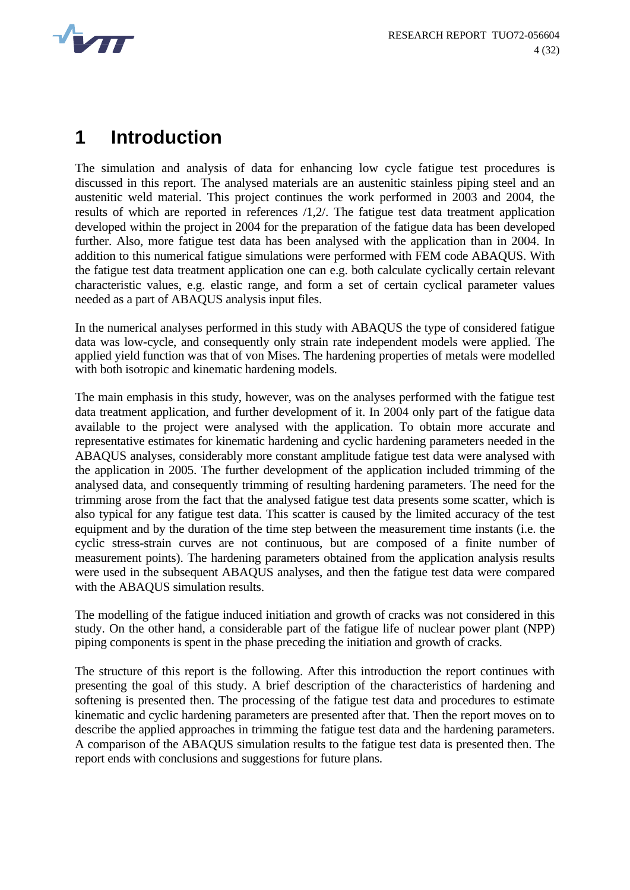<span id="page-6-0"></span>

### **1 Introduction**

The simulation and analysis of data for enhancing low cycle fatigue test procedures is discussed in this report. The analysed materials are an austenitic stainless piping steel and an austenitic weld material. This project continues the work performed in 2003 and 2004, the results of which are reported in references /[1,](#page-34-0)[2/](#page-34-1). The fatigue test data treatment application developed within the project in 2004 for the preparation of the fatigue data has been developed further. Also, more fatigue test data has been analysed with the application than in 2004. In addition to this numerical fatigue simulations were performed with FEM code ABAQUS. With the fatigue test data treatment application one can e.g. both calculate cyclically certain relevant characteristic values, e.g. elastic range, and form a set of certain cyclical parameter values needed as a part of ABAQUS analysis input files.

In the numerical analyses performed in this study with ABAQUS the type of considered fatigue data was low-cycle, and consequently only strain rate independent models were applied. The applied yield function was that of von Mises. The hardening properties of metals were modelled with both isotropic and kinematic hardening models.

The main emphasis in this study, however, was on the analyses performed with the fatigue test data treatment application, and further development of it. In 2004 only part of the fatigue data available to the project were analysed with the application. To obtain more accurate and representative estimates for kinematic hardening and cyclic hardening parameters needed in the ABAQUS analyses, considerably more constant amplitude fatigue test data were analysed with the application in 2005. The further development of the application included trimming of the analysed data, and consequently trimming of resulting hardening parameters. The need for the trimming arose from the fact that the analysed fatigue test data presents some scatter, which is also typical for any fatigue test data. This scatter is caused by the limited accuracy of the test equipment and by the duration of the time step between the measurement time instants (i.e. the cyclic stress-strain curves are not continuous, but are composed of a finite number of measurement points). The hardening parameters obtained from the application analysis results were used in the subsequent ABAQUS analyses, and then the fatigue test data were compared with the ABAQUS simulation results.

The modelling of the fatigue induced initiation and growth of cracks was not considered in this study. On the other hand, a considerable part of the fatigue life of nuclear power plant (NPP) piping components is spent in the phase preceding the initiation and growth of cracks.

The structure of this report is the following. After this introduction the report continues with presenting the goal of this study. A brief description of the characteristics of hardening and softening is presented then. The processing of the fatigue test data and procedures to estimate kinematic and cyclic hardening parameters are presented after that. Then the report moves on to describe the applied approaches in trimming the fatigue test data and the hardening parameters. A comparison of the ABAQUS simulation results to the fatigue test data is presented then. The report ends with conclusions and suggestions for future plans.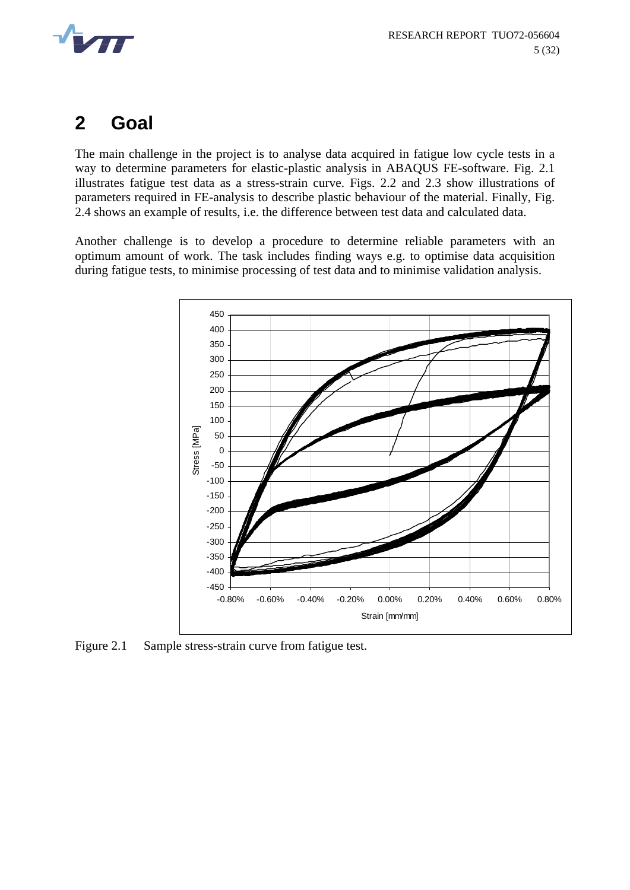<span id="page-7-0"></span>

### **2 Goal**

The main challenge in the project is to analyse data acquired in fatigue low cycle tests in a way to determine parameters for elastic-plastic analysis in ABAQUS FE-software. Fig. 2.1 illustrates fatigue test data as a stress-strain curve. Figs. 2.2 and 2.3 show illustrations of parameters required in FE-analysis to describe plastic behaviour of the material. Finally, Fig. 2.4 shows an example of results, i.e. the difference between test data and calculated data.

Another challenge is to develop a procedure to determine reliable parameters with an optimum amount of work. The task includes finding ways e.g. to optimise data acquisition during fatigue tests, to minimise processing of test data and to minimise validation analysis.



Figure 2.1 Sample stress-strain curve from fatigue test.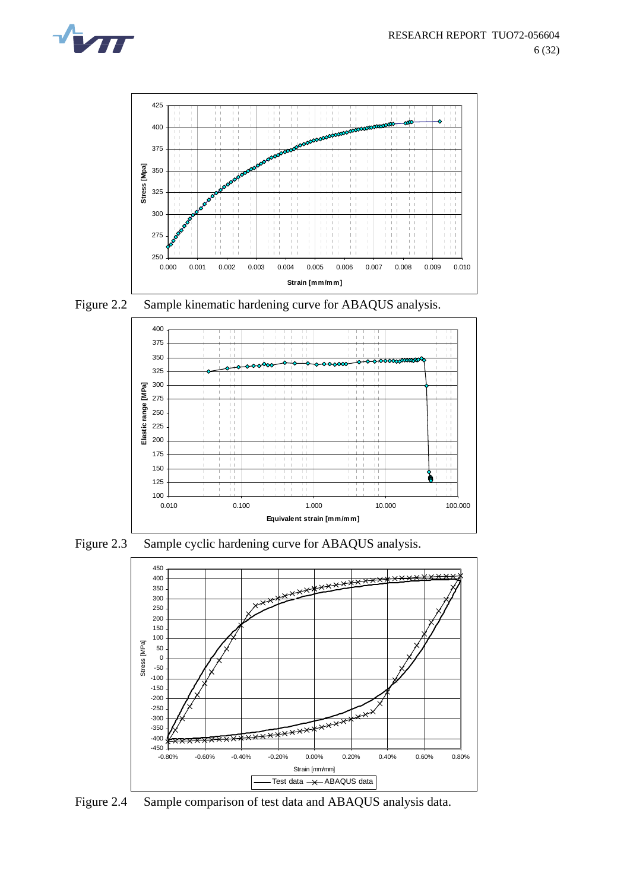



Figure 2.2 Sample kinematic hardening curve for ABAQUS analysis.



Figure 2.3 Sample cyclic hardening curve for ABAQUS analysis.



Figure 2.4 Sample comparison of test data and ABAQUS analysis data.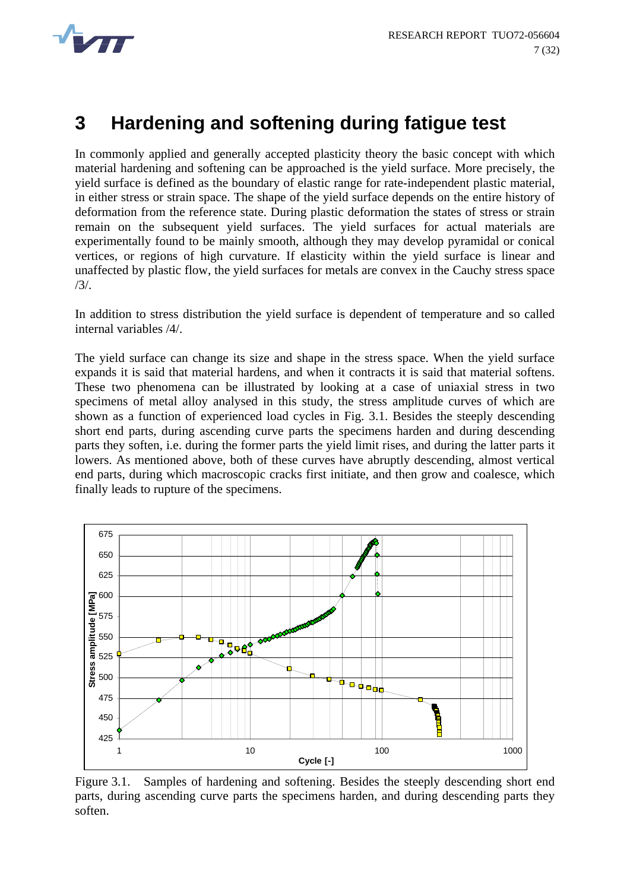<span id="page-9-0"></span>

## **3 Hardening and softening during fatigue test**

In commonly applied and generally accepted plasticity theory the basic concept with which material hardening and softening can be approached is the yield surface. More precisely, the yield surface is defined as the boundary of elastic range for rate-independent plastic material, in either stress or strain space. The shape of the yield surface depends on the entire history of deformation from the reference state. During plastic deformation the states of stress or strain remain on the subsequent yield surfaces. The yield surfaces for actual materials are experimentally found to be mainly smooth, although they may develop pyramidal or conical vertices, or regions of high curvature. If elasticity within the yield surface is linear and unaffected by plastic flow, the yield surfaces for metals are convex in the Cauchy stress space [/3](#page-34-2)/.

In addition to stress distribution the yield surface is dependent of temperature and so called internal variables [/4](#page-34-3)/.

The yield surface can change its size and shape in the stress space. When the yield surface expands it is said that material hardens, and when it contracts it is said that material softens. These two phenomena can be illustrated by looking at a case of uniaxial stress in two specimens of metal alloy analysed in this study, the stress amplitude curves of which are shown as a function of experienced load cycles in Fig. 3.1. Besides the steeply descending short end parts, during ascending curve parts the specimens harden and during descending parts they soften, i.e. during the former parts the yield limit rises, and during the latter parts it lowers. As mentioned above, both of these curves have abruptly descending, almost vertical end parts, during which macroscopic cracks first initiate, and then grow and coalesce, which finally leads to rupture of the specimens.



Figure 3.1. Samples of hardening and softening. Besides the steeply descending short end parts, during ascending curve parts the specimens harden, and during descending parts they soften.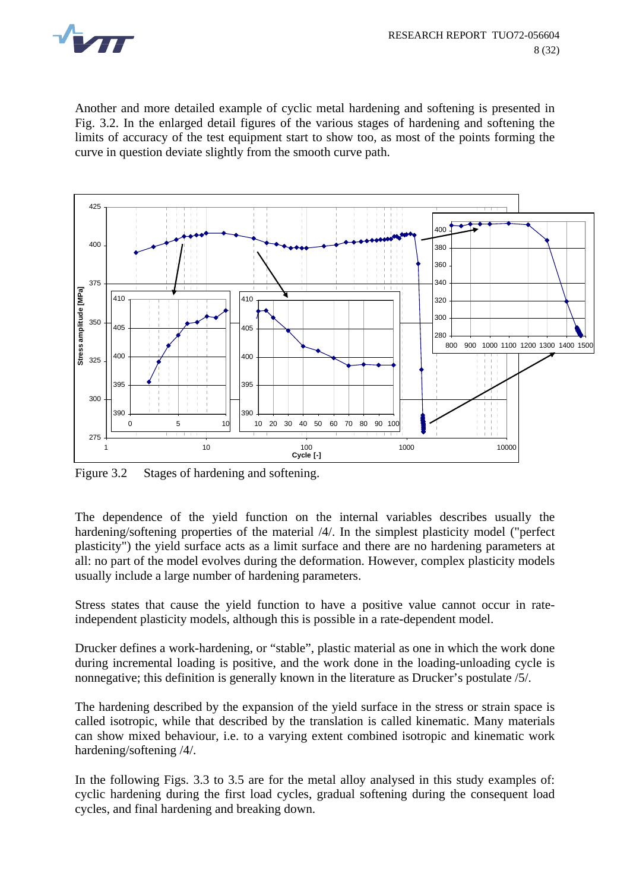

Another and more detailed example of cyclic metal hardening and softening is presented in Fig. 3.2. In the enlarged detail figures of the various stages of hardening and softening the limits of accuracy of the test equipment start to show too, as most of the points forming the curve in question deviate slightly from the smooth curve path.



Figure 3.2 Stages of hardening and softening.

The dependence of the yield function on the internal variables describes usually the hardening/softening properties of the material [/4](#page-34-3)/. In the simplest plasticity model ("perfect plasticity") the yield surface acts as a limit surface and there are no hardening parameters at all: no part of the model evolves during the deformation. However, complex plasticity models usually include a large number of hardening parameters.

Stress states that cause the yield function to have a positive value cannot occur in rateindependent plasticity models, although this is possible in a rate-dependent model.

Drucker defines a work-hardening, or "stable", plastic material as one in which the work done during incremental loading is positive, and the work done in the loading-unloading cycle is nonnegative; this definition is generally known in the literature as Drucker's postulate [/5](#page-34-4)/.

The hardening described by the expansion of the yield surface in the stress or strain space is called isotropic, while that described by the translation is called kinematic. Many materials can show mixed behaviour, i.e. to a varying extent combined isotropic and kinematic work hardening/softening [/4](#page-34-3)/.

In the following Figs. 3.3 to 3.5 are for the metal alloy analysed in this study examples of: cyclic hardening during the first load cycles, gradual softening during the consequent load cycles, and final hardening and breaking down.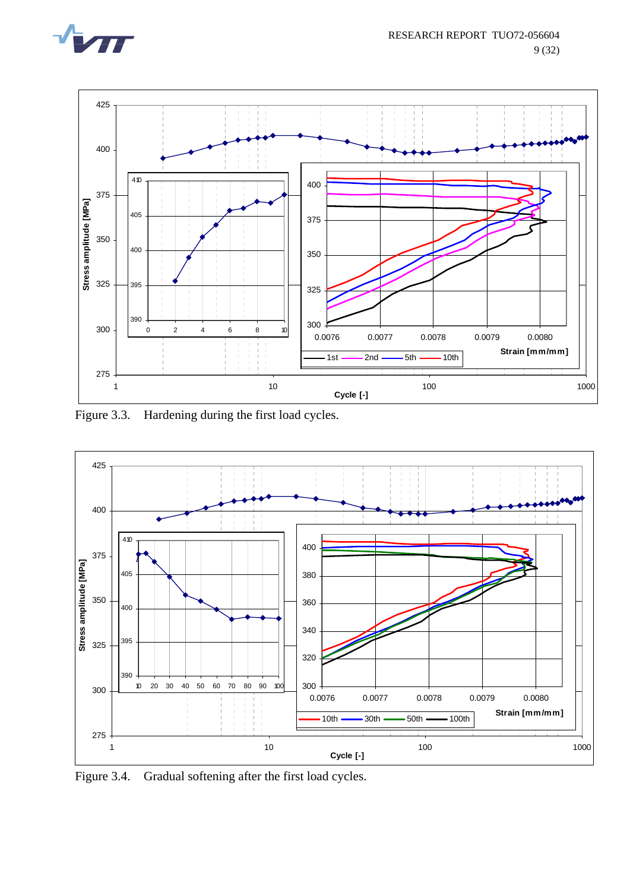



Figure 3.3. Hardening during the first load cycles.



Figure 3.4. Gradual softening after the first load cycles.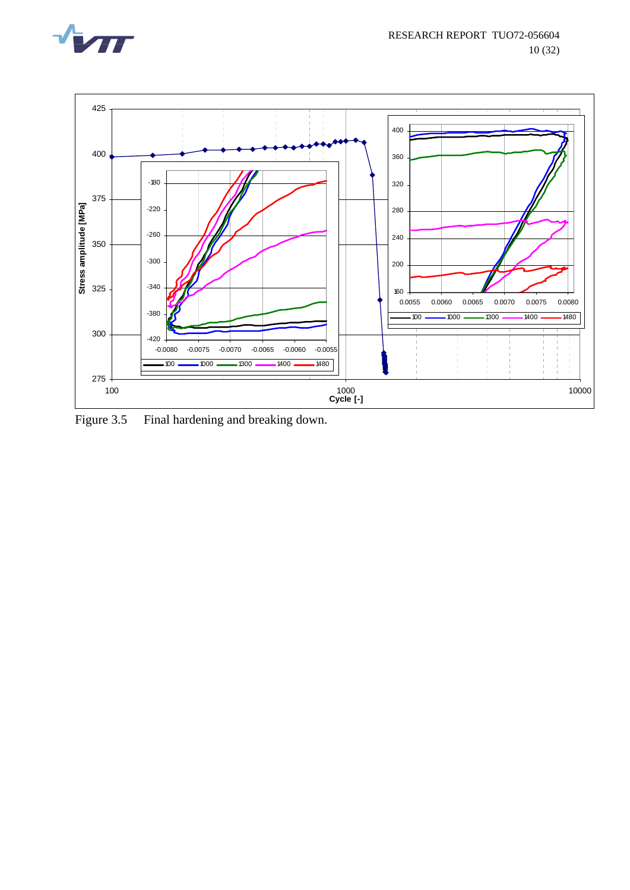



Figure 3.5 Final hardening and breaking down.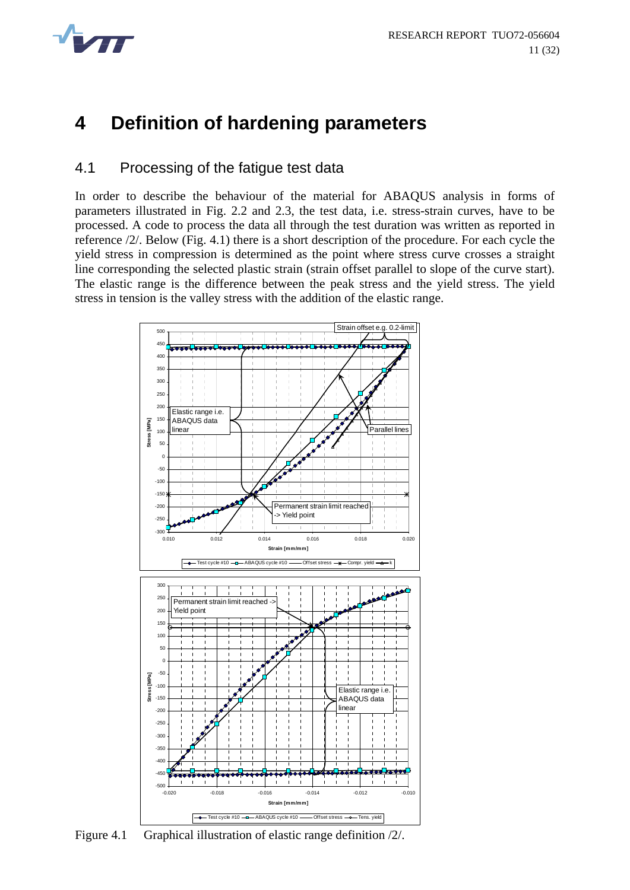<span id="page-13-0"></span>

### **4 Definition of hardening parameters**

#### 4.1 Processing of the fatigue test data

In order to describe the behaviour of the material for ABAQUS analysis in forms of parameters illustrated in Fig. 2.2 and 2.3, the test data, i.e. stress-strain curves, have to be processed. A code to process the data all through the test duration was written as reported in reference /2/. Below (Fig. 4.1) there is a short description of the procedure. For each cycle the yield stress in compression is determined as the point where stress curve crosses a straight line corresponding the selected plastic strain (strain offset parallel to slope of the curve start). The elastic range is the difference between the peak stress and the yield stress. The yield stress in tension is the valley stress with the addition of the elastic range.



Figure 4.1 Graphical illustration of elastic range definition /2/.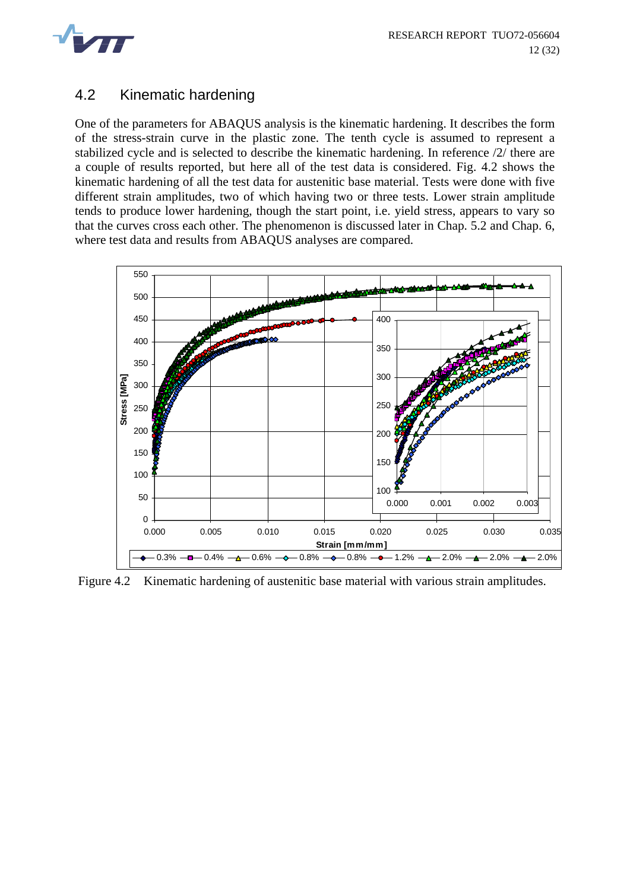<span id="page-14-0"></span>

### 4.2 Kinematic hardening

One of the parameters for ABAQUS analysis is the kinematic hardening. It describes the form of the stress-strain curve in the plastic zone. The tenth cycle is assumed to represent a stabilized cycle and is selected to describe the kinematic hardening. In reference /2/ there are a couple of results reported, but here all of the test data is considered. Fig. 4.2 shows the kinematic hardening of all the test data for austenitic base material. Tests were done with five different strain amplitudes, two of which having two or three tests. Lower strain amplitude tends to produce lower hardening, though the start point, i.e. yield stress, appears to vary so that the curves cross each other. The phenomenon is discussed later in Chap. 5.2 and Chap. 6, where test data and results from ABAQUS analyses are compared.



Figure 4.2 Kinematic hardening of austenitic base material with various strain amplitudes.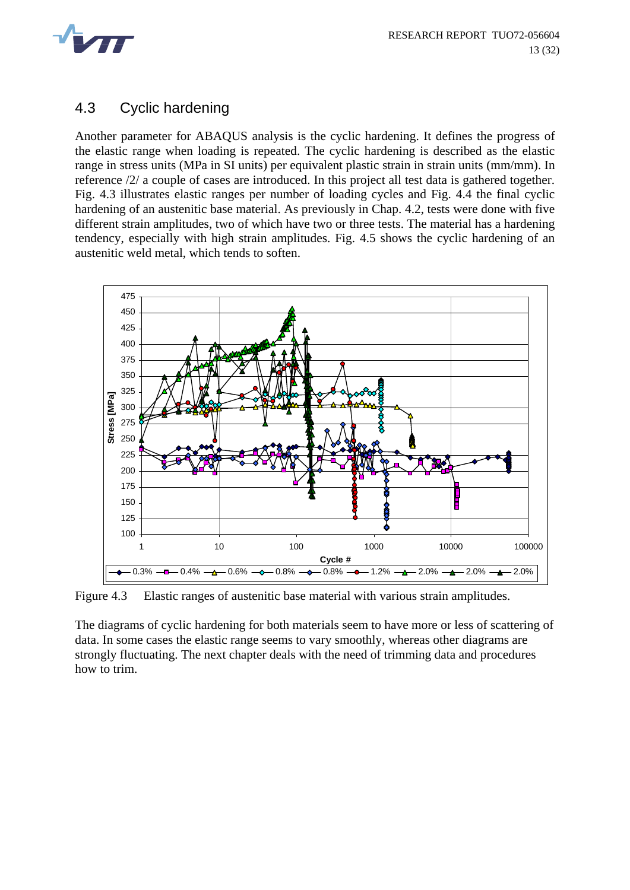<span id="page-15-0"></span>

### 4.3 Cyclic hardening

Another parameter for ABAQUS analysis is the cyclic hardening. It defines the progress of the elastic range when loading is repeated. The cyclic hardening is described as the elastic range in stress units (MPa in SI units) per equivalent plastic strain in strain units (mm/mm). In reference /2/ a couple of cases are introduced. In this project all test data is gathered together. Fig. 4.3 illustrates elastic ranges per number of loading cycles and Fig. 4.4 the final cyclic hardening of an austenitic base material. As previously in Chap. 4.2, tests were done with five different strain amplitudes, two of which have two or three tests. The material has a hardening tendency, especially with high strain amplitudes. Fig. 4.5 shows the cyclic hardening of an austenitic weld metal, which tends to soften.



Figure 4.3 Elastic ranges of austenitic base material with various strain amplitudes.

The diagrams of cyclic hardening for both materials seem to have more or less of scattering of data. In some cases the elastic range seems to vary smoothly, whereas other diagrams are strongly fluctuating. The next chapter deals with the need of trimming data and procedures how to trim.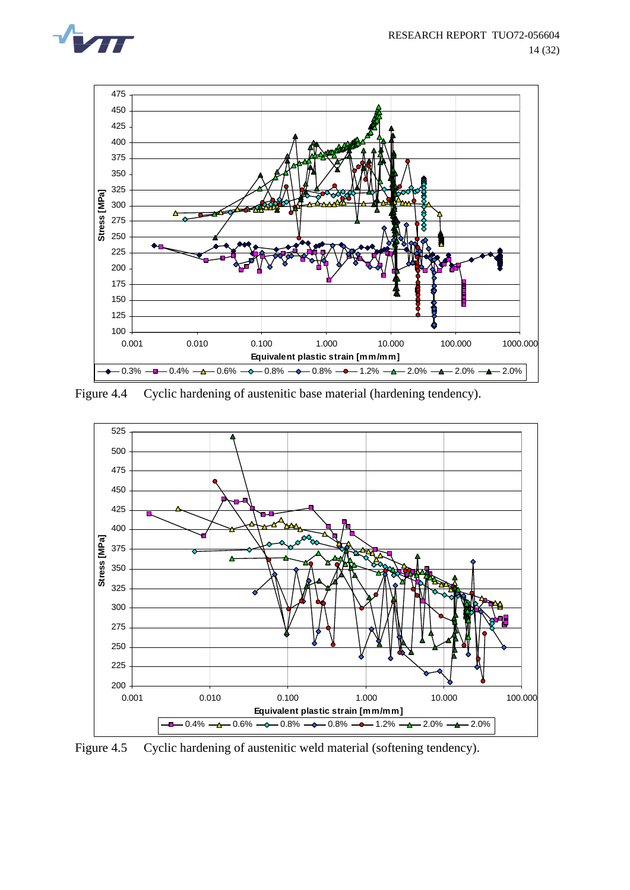



Figure 4.4 Cyclic hardening of austenitic base material (hardening tendency).



Figure 4.5 Cyclic hardening of austenitic weld material (softening tendency).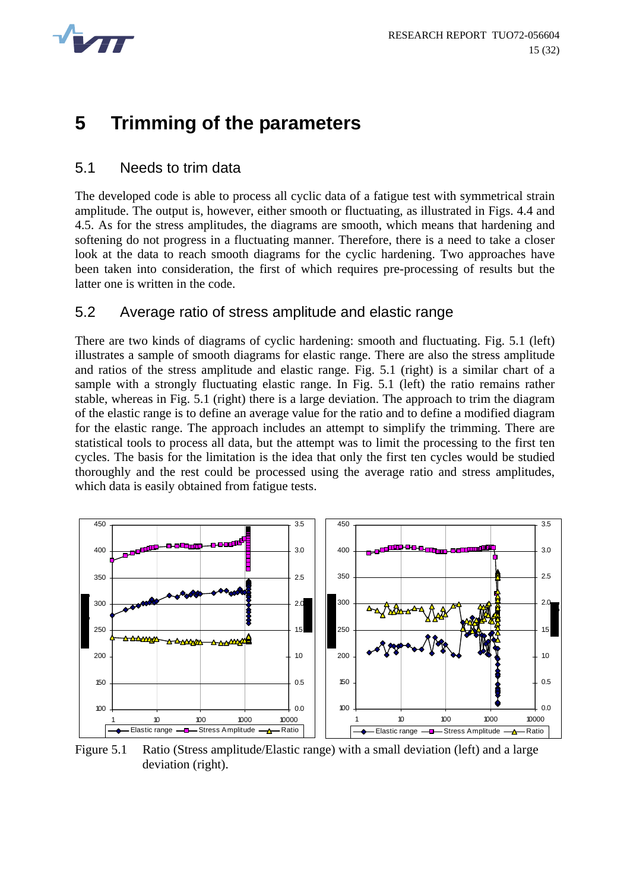<span id="page-17-0"></span>

### **5 Trimming of the parameters**

#### 5.1 Needs to trim data

The developed code is able to process all cyclic data of a fatigue test with symmetrical strain amplitude. The output is, however, either smooth or fluctuating, as illustrated in Figs. 4.4 and 4.5. As for the stress amplitudes, the diagrams are smooth, which means that hardening and softening do not progress in a fluctuating manner. Therefore, there is a need to take a closer look at the data to reach smooth diagrams for the cyclic hardening. Two approaches have been taken into consideration, the first of which requires pre-processing of results but the latter one is written in the code.

#### 5.2 Average ratio of stress amplitude and elastic range

There are two kinds of diagrams of cyclic hardening: smooth and fluctuating. Fig. 5.1 (left) illustrates a sample of smooth diagrams for elastic range. There are also the stress amplitude and ratios of the stress amplitude and elastic range. Fig. 5.1 (right) is a similar chart of a sample with a strongly fluctuating elastic range. In Fig. 5.1 (left) the ratio remains rather stable, whereas in Fig. 5.1 (right) there is a large deviation. The approach to trim the diagram of the elastic range is to define an average value for the ratio and to define a modified diagram for the elastic range. The approach includes an attempt to simplify the trimming. There are statistical tools to process all data, but the attempt was to limit the processing to the first ten cycles. The basis for the limitation is the idea that only the first ten cycles would be studied thoroughly and the rest could be processed using the average ratio and stress amplitudes, which data is easily obtained from fatigue tests.



Figure 5.1 Ratio (Stress amplitude/Elastic range) with a small deviation (left) and a large deviation (right).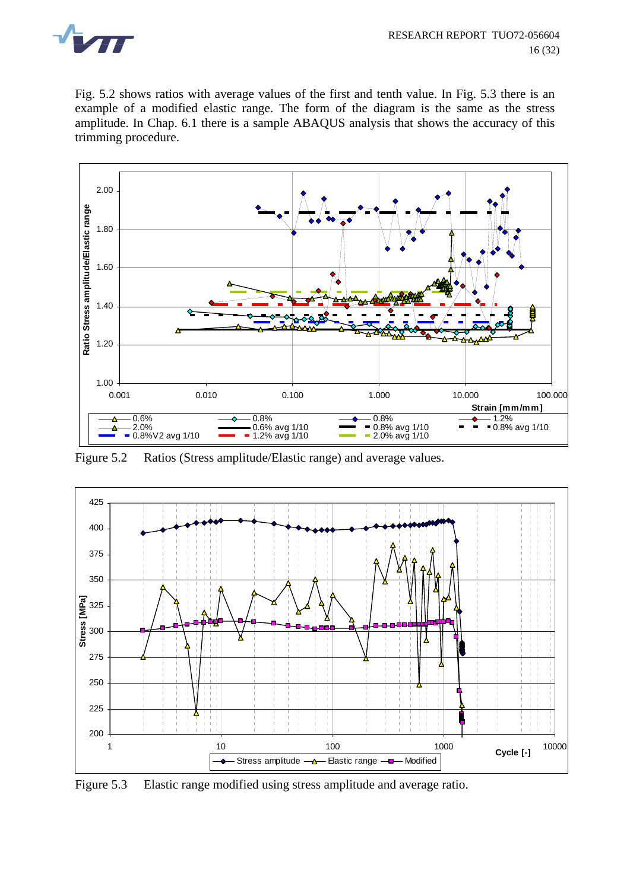

Fig. 5.2 shows ratios with average values of the first and tenth value. In Fig. 5.3 there is an example of a modified elastic range. The form of the diagram is the same as the stress amplitude. In Chap. 6.1 there is a sample ABAQUS analysis that shows the accuracy of this trimming procedure.



Figure 5.2 Ratios (Stress amplitude/Elastic range) and average values.



Figure 5.3 Elastic range modified using stress amplitude and average ratio.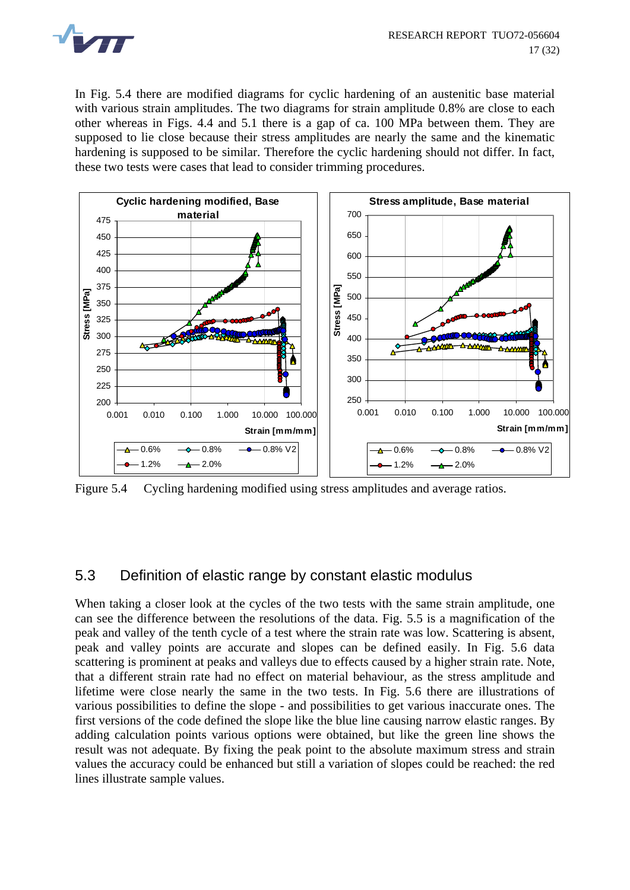<span id="page-19-0"></span>

In Fig. 5.4 there are modified diagrams for cyclic hardening of an austenitic base material with various strain amplitudes. The two diagrams for strain amplitude 0.8% are close to each other whereas in Figs. 4.4 and 5.1 there is a gap of ca. 100 MPa between them. They are supposed to lie close because their stress amplitudes are nearly the same and the kinematic hardening is supposed to be similar. Therefore the cyclic hardening should not differ. In fact, these two tests were cases that lead to consider trimming procedures.



Figure 5.4 Cycling hardening modified using stress amplitudes and average ratios.

### 5.3 Definition of elastic range by constant elastic modulus

When taking a closer look at the cycles of the two tests with the same strain amplitude, one can see the difference between the resolutions of the data. Fig. 5.5 is a magnification of the peak and valley of the tenth cycle of a test where the strain rate was low. Scattering is absent, peak and valley points are accurate and slopes can be defined easily. In Fig. 5.6 data scattering is prominent at peaks and valleys due to effects caused by a higher strain rate. Note, that a different strain rate had no effect on material behaviour, as the stress amplitude and lifetime were close nearly the same in the two tests. In Fig. 5.6 there are illustrations of various possibilities to define the slope - and possibilities to get various inaccurate ones. The first versions of the code defined the slope like the blue line causing narrow elastic ranges. By adding calculation points various options were obtained, but like the green line shows the result was not adequate. By fixing the peak point to the absolute maximum stress and strain values the accuracy could be enhanced but still a variation of slopes could be reached: the red lines illustrate sample values.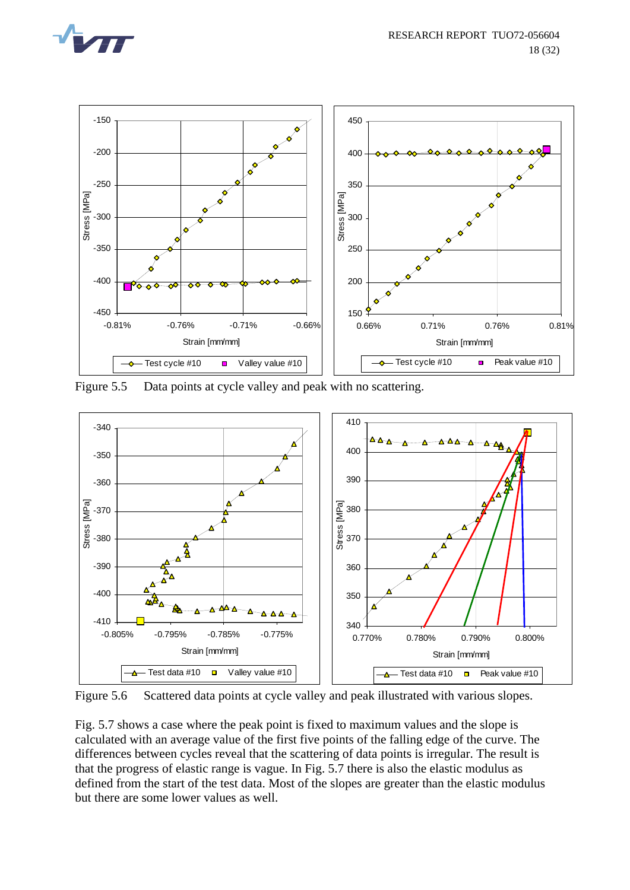



Figure 5.5 Data points at cycle valley and peak with no scattering.



Figure 5.6 Scattered data points at cycle valley and peak illustrated with various slopes.

Fig. 5.7 shows a case where the peak point is fixed to maximum values and the slope is calculated with an average value of the first five points of the falling edge of the curve. The differences between cycles reveal that the scattering of data points is irregular. The result is that the progress of elastic range is vague. In Fig. 5.7 there is also the elastic modulus as defined from the start of the test data. Most of the slopes are greater than the elastic modulus but there are some lower values as well.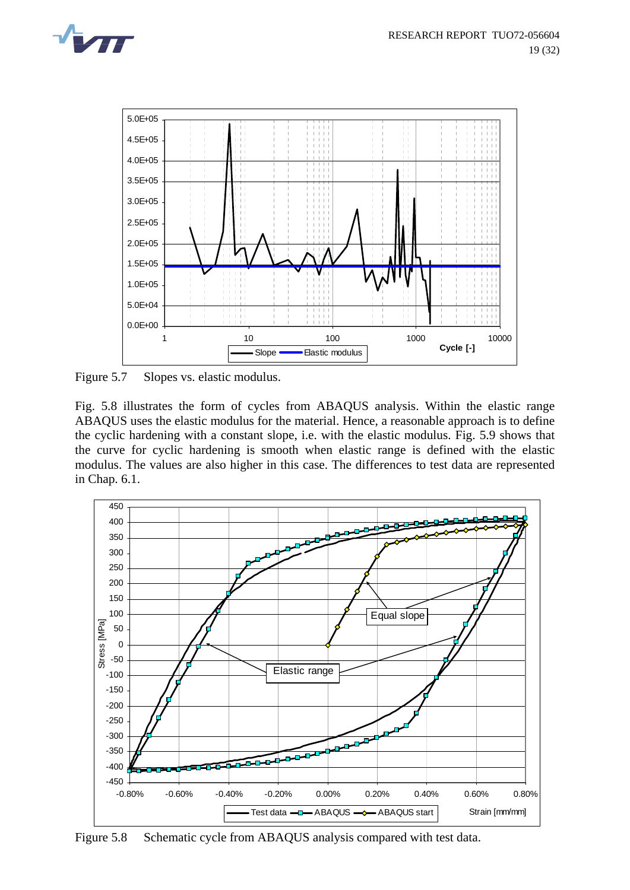



Figure 5.7 Slopes vs. elastic modulus.

Fig. 5.8 illustrates the form of cycles from ABAQUS analysis. Within the elastic range ABAQUS uses the elastic modulus for the material. Hence, a reasonable approach is to define the cyclic hardening with a constant slope, i.e. with the elastic modulus. Fig. 5.9 shows that the curve for cyclic hardening is smooth when elastic range is defined with the elastic modulus. The values are also higher in this case. The differences to test data are represented in Chap. 6.1.



Figure 5.8 Schematic cycle from ABAQUS analysis compared with test data.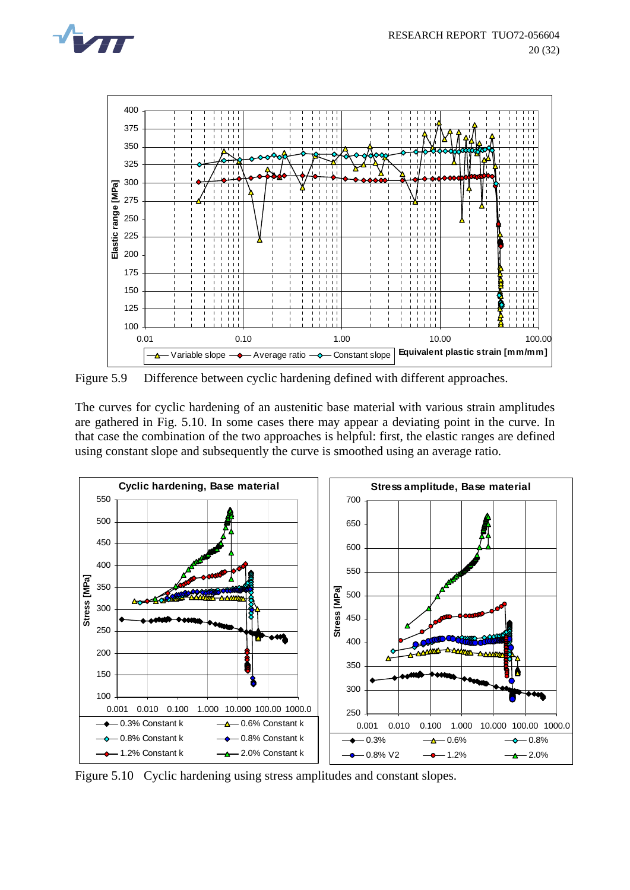



Figure 5.9 Difference between cyclic hardening defined with different approaches.

The curves for cyclic hardening of an austenitic base material with various strain amplitudes are gathered in Fig. 5.10. In some cases there may appear a deviating point in the curve. In that case the combination of the two approaches is helpful: first, the elastic ranges are defined using constant slope and subsequently the curve is smoothed using an average ratio.



Figure 5.10 Cyclic hardening using stress amplitudes and constant slopes.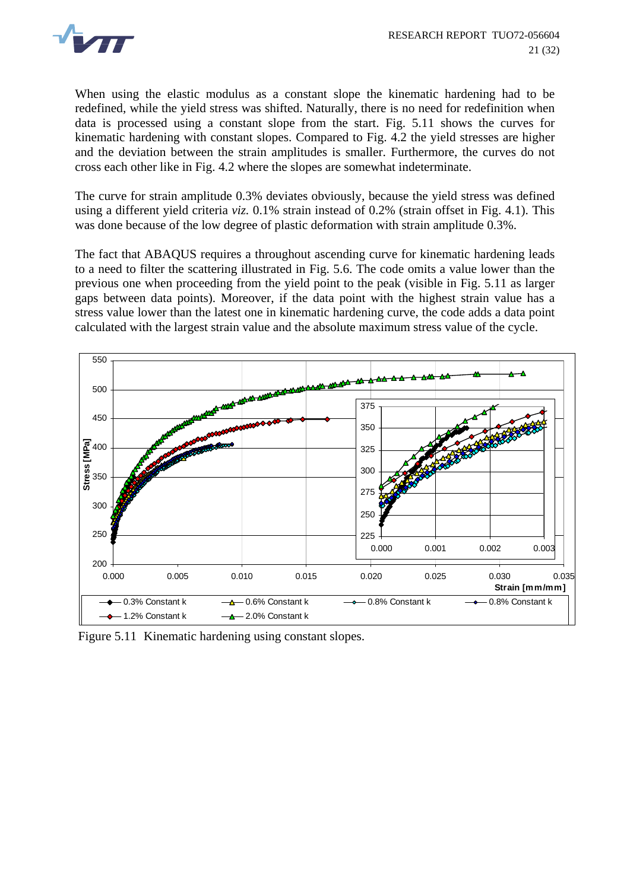

When using the elastic modulus as a constant slope the kinematic hardening had to be redefined, while the yield stress was shifted. Naturally, there is no need for redefinition when data is processed using a constant slope from the start. Fig. 5.11 shows the curves for kinematic hardening with constant slopes. Compared to Fig. 4.2 the yield stresses are higher and the deviation between the strain amplitudes is smaller. Furthermore, the curves do not cross each other like in Fig. 4.2 where the slopes are somewhat indeterminate.

The curve for strain amplitude 0.3% deviates obviously, because the yield stress was defined using a different yield criteria *viz.* 0.1% strain instead of 0.2% (strain offset in Fig. 4.1). This was done because of the low degree of plastic deformation with strain amplitude 0.3%.

The fact that ABAQUS requires a throughout ascending curve for kinematic hardening leads to a need to filter the scattering illustrated in Fig. 5.6. The code omits a value lower than the previous one when proceeding from the yield point to the peak (visible in Fig. 5.11 as larger gaps between data points). Moreover, if the data point with the highest strain value has a stress value lower than the latest one in kinematic hardening curve, the code adds a data point calculated with the largest strain value and the absolute maximum stress value of the cycle.



Figure 5.11 Kinematic hardening using constant slopes.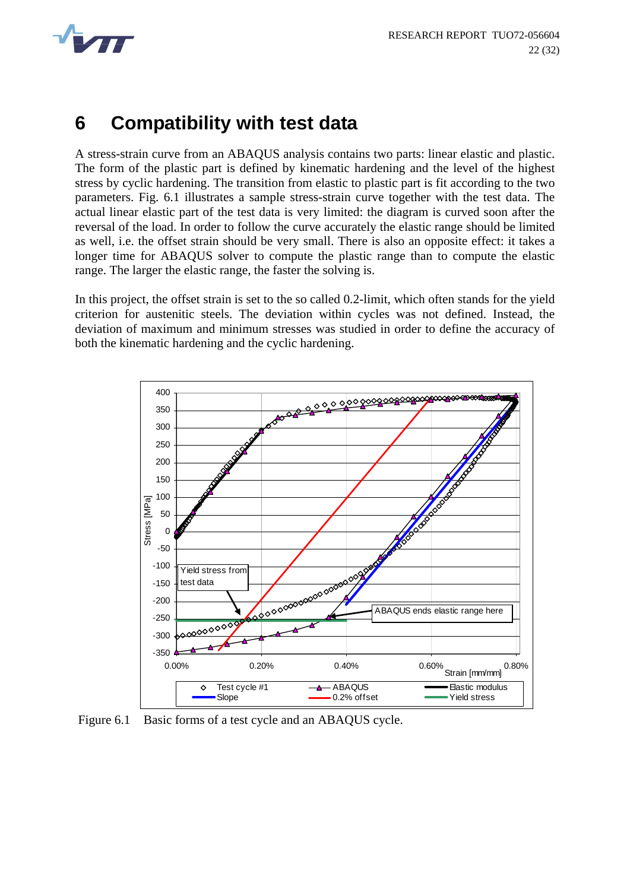<span id="page-24-0"></span>

## **6 Compatibility with test data**

A stress-strain curve from an ABAQUS analysis contains two parts: linear elastic and plastic. The form of the plastic part is defined by kinematic hardening and the level of the highest stress by cyclic hardening. The transition from elastic to plastic part is fit according to the two parameters. Fig. 6.1 illustrates a sample stress-strain curve together with the test data. The actual linear elastic part of the test data is very limited: the diagram is curved soon after the reversal of the load. In order to follow the curve accurately the elastic range should be limited as well, i.e. the offset strain should be very small. There is also an opposite effect: it takes a longer time for ABAQUS solver to compute the plastic range than to compute the elastic range. The larger the elastic range, the faster the solving is.

In this project, the offset strain is set to the so called 0.2-limit, which often stands for the yield criterion for austenitic steels. The deviation within cycles was not defined. Instead, the deviation of maximum and minimum stresses was studied in order to define the accuracy of both the kinematic hardening and the cyclic hardening.



Figure 6.1 Basic forms of a test cycle and an ABAQUS cycle.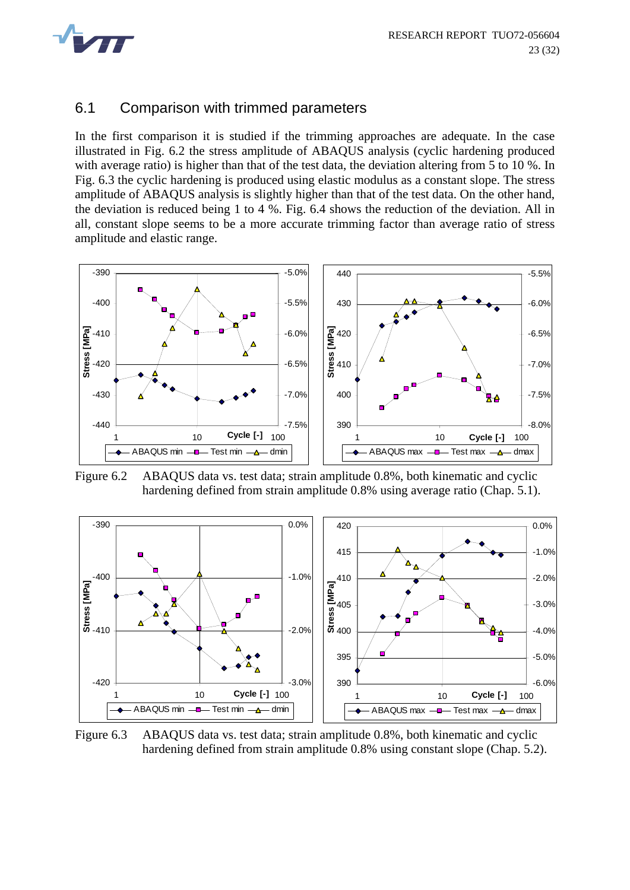<span id="page-25-0"></span>

#### 6.1 Comparison with trimmed parameters

In the first comparison it is studied if the trimming approaches are adequate. In the case illustrated in Fig. 6.2 the stress amplitude of ABAQUS analysis (cyclic hardening produced with average ratio) is higher than that of the test data, the deviation altering from 5 to 10 %. In Fig. 6.3 the cyclic hardening is produced using elastic modulus as a constant slope. The stress amplitude of ABAQUS analysis is slightly higher than that of the test data. On the other hand, the deviation is reduced being 1 to 4 %. Fig. 6.4 shows the reduction of the deviation. All in all, constant slope seems to be a more accurate trimming factor than average ratio of stress amplitude and elastic range.



Figure 6.2 ABAQUS data vs. test data; strain amplitude 0.8%, both kinematic and cyclic hardening defined from strain amplitude 0.8% using average ratio (Chap. 5.1).



Figure 6.3 ABAQUS data vs. test data; strain amplitude 0.8%, both kinematic and cyclic hardening defined from strain amplitude 0.8% using constant slope (Chap. 5.2).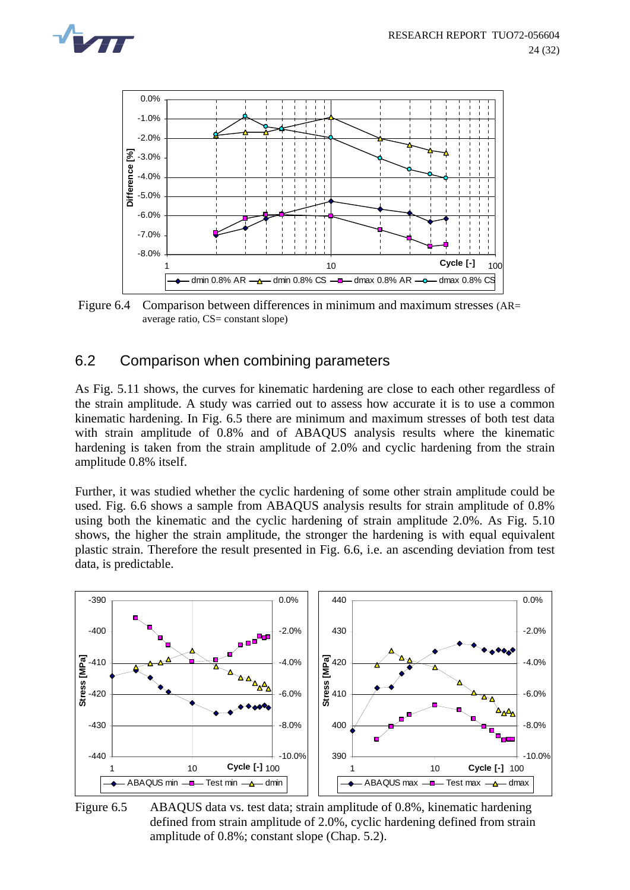<span id="page-26-0"></span>



 Figure 6.4 Comparison between differences in minimum and maximum stresses (AR= average ratio, CS= constant slope)

#### 6.2 Comparison when combining parameters

As Fig. 5.11 shows, the curves for kinematic hardening are close to each other regardless of the strain amplitude. A study was carried out to assess how accurate it is to use a common kinematic hardening. In Fig. 6.5 there are minimum and maximum stresses of both test data with strain amplitude of 0.8% and of ABAQUS analysis results where the kinematic hardening is taken from the strain amplitude of 2.0% and cyclic hardening from the strain amplitude 0.8% itself.

Further, it was studied whether the cyclic hardening of some other strain amplitude could be used. Fig. 6.6 shows a sample from ABAQUS analysis results for strain amplitude of 0.8% using both the kinematic and the cyclic hardening of strain amplitude 2.0%. As Fig. 5.10 shows, the higher the strain amplitude, the stronger the hardening is with equal equivalent plastic strain. Therefore the result presented in Fig. 6.6, i.e. an ascending deviation from test data, is predictable.



Figure 6.5 ABAQUS data vs. test data; strain amplitude of 0.8%, kinematic hardening defined from strain amplitude of 2.0%, cyclic hardening defined from strain amplitude of 0.8%; constant slope (Chap. 5.2).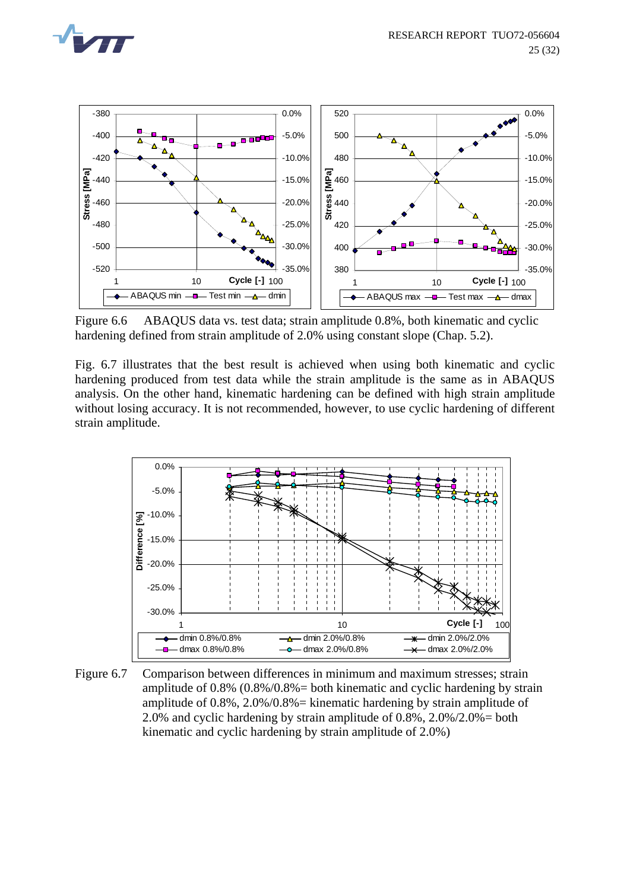



Figure 6.6 ABAQUS data vs. test data; strain amplitude 0.8%, both kinematic and cyclic hardening defined from strain amplitude of 2.0% using constant slope (Chap. 5.2).

Fig. 6.7 illustrates that the best result is achieved when using both kinematic and cyclic hardening produced from test data while the strain amplitude is the same as in ABAQUS analysis. On the other hand, kinematic hardening can be defined with high strain amplitude without losing accuracy. It is not recommended, however, to use cyclic hardening of different strain amplitude.



Figure 6.7 Comparison between differences in minimum and maximum stresses; strain amplitude of  $0.8\%$   $(0.8\%/0.8\%) =$  both kinematic and cyclic hardening by strain amplitude of  $0.8\%$ ,  $2.0\%/0.8\%$  = kinematic hardening by strain amplitude of 2.0% and cyclic hardening by strain amplitude of 0.8%, 2.0%/2.0%= both kinematic and cyclic hardening by strain amplitude of 2.0%)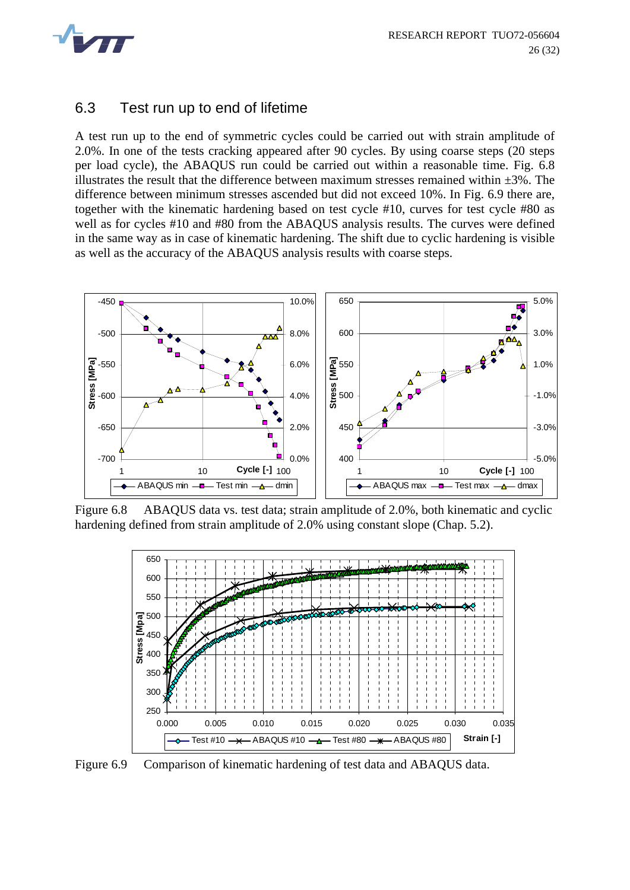<span id="page-28-0"></span>

#### 6.3 Test run up to end of lifetime

A test run up to the end of symmetric cycles could be carried out with strain amplitude of 2.0%. In one of the tests cracking appeared after 90 cycles. By using coarse steps (20 steps per load cycle), the ABAQUS run could be carried out within a reasonable time. Fig. 6.8 illustrates the result that the difference between maximum stresses remained within  $\pm 3\%$ . The difference between minimum stresses ascended but did not exceed 10%. In Fig. 6.9 there are, together with the kinematic hardening based on test cycle #10, curves for test cycle #80 as well as for cycles #10 and #80 from the ABAQUS analysis results. The curves were defined in the same way as in case of kinematic hardening. The shift due to cyclic hardening is visible as well as the accuracy of the ABAQUS analysis results with coarse steps.



Figure 6.8 ABAQUS data vs. test data; strain amplitude of 2.0%, both kinematic and cyclic hardening defined from strain amplitude of 2.0% using constant slope (Chap. 5.2).



Figure 6.9 Comparison of kinematic hardening of test data and ABAQUS data.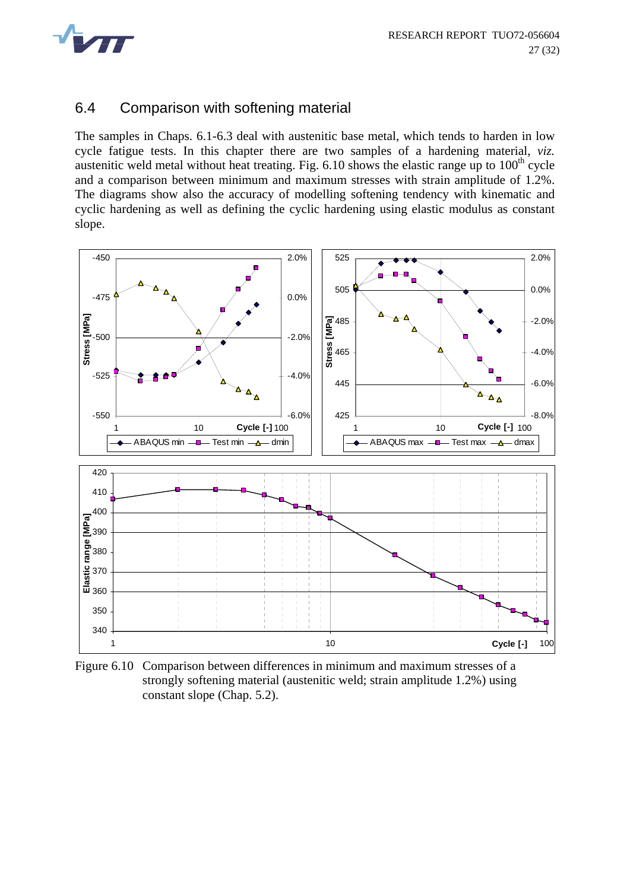<span id="page-29-0"></span>

#### 6.4 Comparison with softening material

The samples in Chaps. 6.1-6.3 deal with austenitic base metal, which tends to harden in low cycle fatigue tests. In this chapter there are two samples of a hardening material, *viz.* austenitic weld metal without heat treating. Fig.  $6.10$  shows the elastic range up to  $100<sup>th</sup>$  cycle and a comparison between minimum and maximum stresses with strain amplitude of 1.2%. The diagrams show also the accuracy of modelling softening tendency with kinematic and cyclic hardening as well as defining the cyclic hardening using elastic modulus as constant slope.



Figure 6.10 Comparison between differences in minimum and maximum stresses of a strongly softening material (austenitic weld; strain amplitude 1.2%) using constant slope (Chap. 5.2).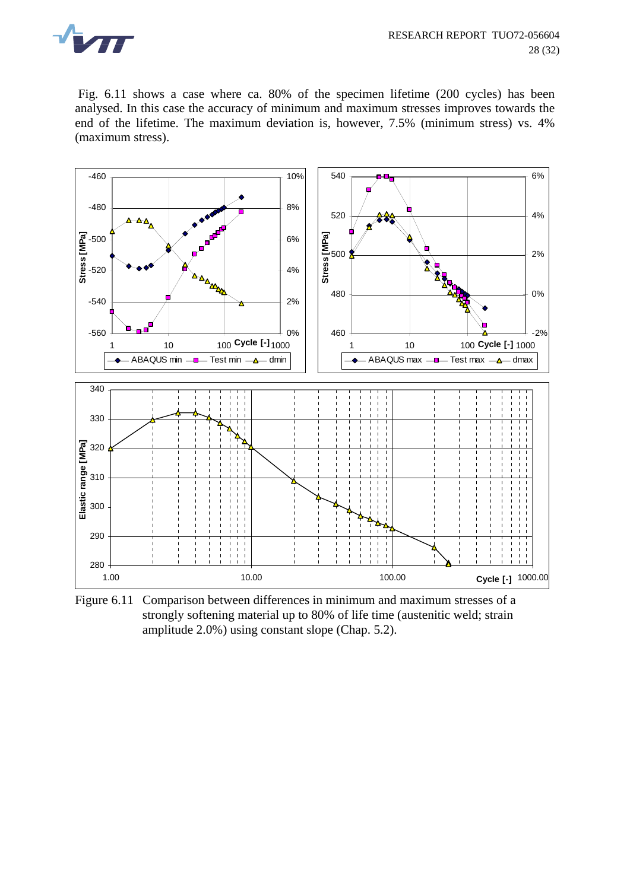

 Fig. 6.11 shows a case where ca. 80% of the specimen lifetime (200 cycles) has been analysed. In this case the accuracy of minimum and maximum stresses improves towards the end of the lifetime. The maximum deviation is, however, 7.5% (minimum stress) vs. 4% (maximum stress).



Figure 6.11 Comparison between differences in minimum and maximum stresses of a strongly softening material up to 80% of life time (austenitic weld; strain amplitude 2.0%) using constant slope (Chap. 5.2).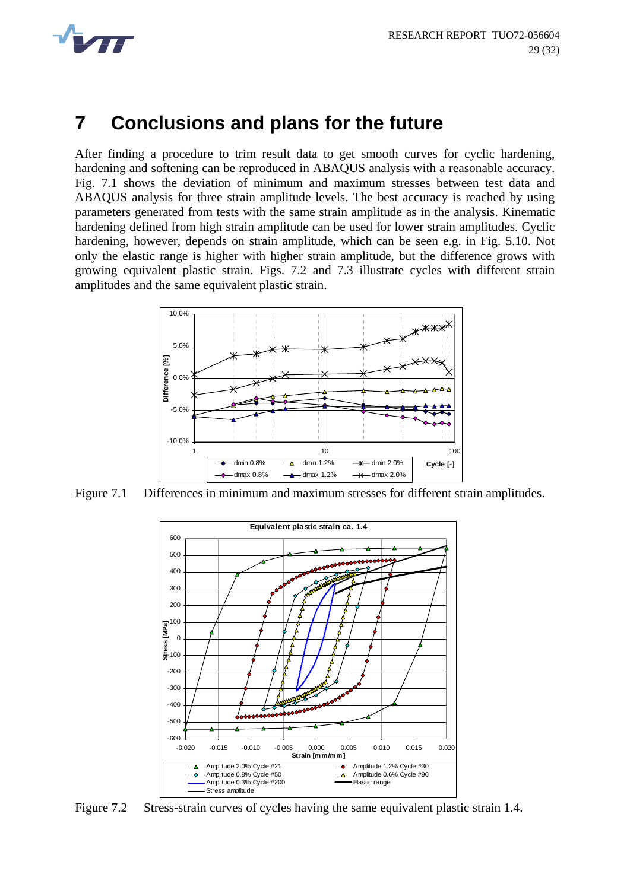<span id="page-31-0"></span>

### **7 Conclusions and plans for the future**

After finding a procedure to trim result data to get smooth curves for cyclic hardening, hardening and softening can be reproduced in ABAQUS analysis with a reasonable accuracy. Fig. 7.1 shows the deviation of minimum and maximum stresses between test data and ABAQUS analysis for three strain amplitude levels. The best accuracy is reached by using parameters generated from tests with the same strain amplitude as in the analysis. Kinematic hardening defined from high strain amplitude can be used for lower strain amplitudes. Cyclic hardening, however, depends on strain amplitude, which can be seen e.g. in Fig. 5.10. Not only the elastic range is higher with higher strain amplitude, but the difference grows with growing equivalent plastic strain. Figs. 7.2 and 7.3 illustrate cycles with different strain amplitudes and the same equivalent plastic strain.



Figure 7.1 Differences in minimum and maximum stresses for different strain amplitudes.



Figure 7.2 Stress-strain curves of cycles having the same equivalent plastic strain 1.4.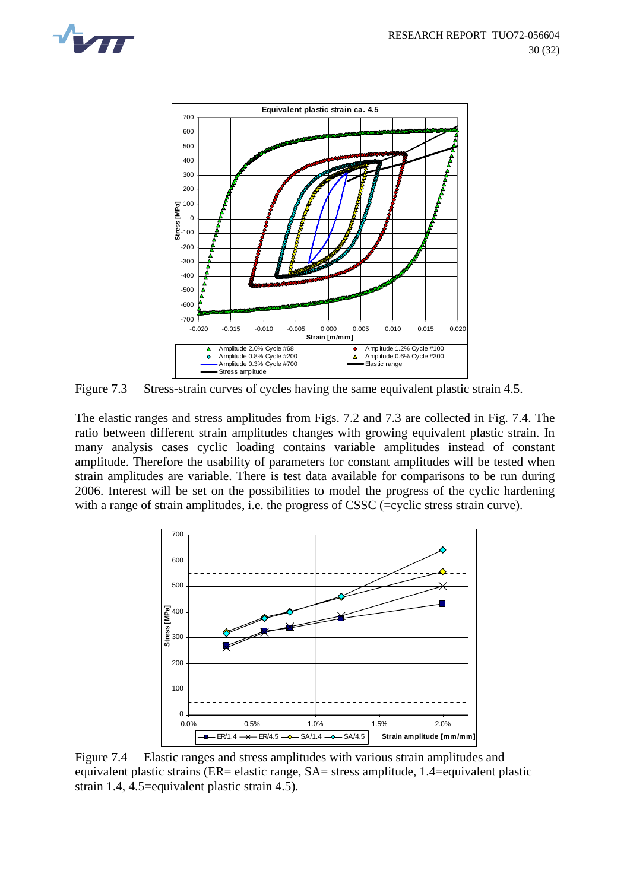



Figure 7.3 Stress-strain curves of cycles having the same equivalent plastic strain 4.5.

The elastic ranges and stress amplitudes from Figs. 7.2 and 7.3 are collected in Fig. 7.4. The ratio between different strain amplitudes changes with growing equivalent plastic strain. In many analysis cases cyclic loading contains variable amplitudes instead of constant amplitude. Therefore the usability of parameters for constant amplitudes will be tested when strain amplitudes are variable. There is test data available for comparisons to be run during 2006. Interest will be set on the possibilities to model the progress of the cyclic hardening with a range of strain amplitudes, i.e. the progress of CSSC (=cyclic stress strain curve).



Figure 7.4 Elastic ranges and stress amplitudes with various strain amplitudes and equivalent plastic strains (ER= elastic range, SA= stress amplitude, 1.4=equivalent plastic strain 1.4, 4.5=equivalent plastic strain 4.5).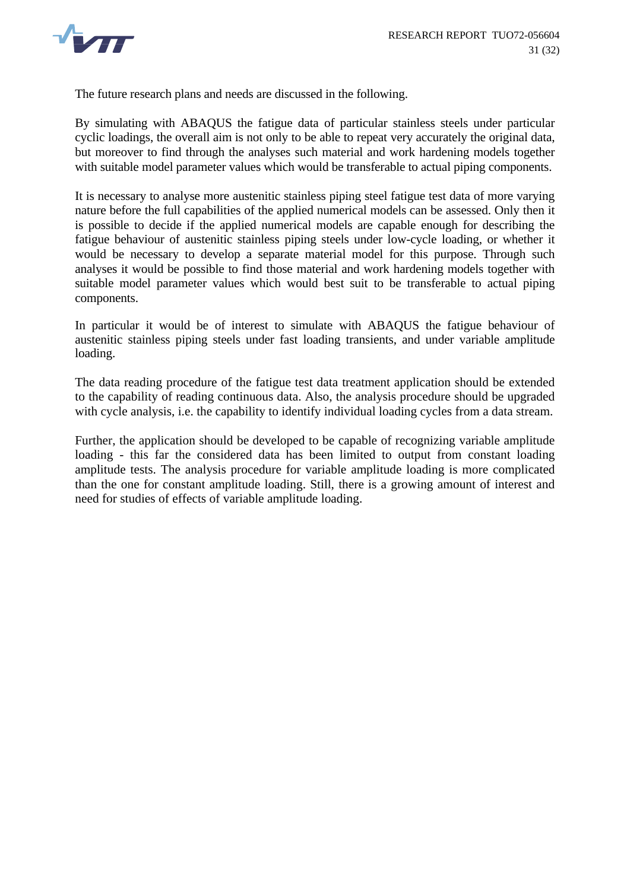

The future research plans and needs are discussed in the following.

By simulating with ABAQUS the fatigue data of particular stainless steels under particular cyclic loadings, the overall aim is not only to be able to repeat very accurately the original data, but moreover to find through the analyses such material and work hardening models together with suitable model parameter values which would be transferable to actual piping components.

It is necessary to analyse more austenitic stainless piping steel fatigue test data of more varying nature before the full capabilities of the applied numerical models can be assessed. Only then it is possible to decide if the applied numerical models are capable enough for describing the fatigue behaviour of austenitic stainless piping steels under low-cycle loading, or whether it would be necessary to develop a separate material model for this purpose. Through such analyses it would be possible to find those material and work hardening models together with suitable model parameter values which would best suit to be transferable to actual piping components.

In particular it would be of interest to simulate with ABAQUS the fatigue behaviour of austenitic stainless piping steels under fast loading transients, and under variable amplitude loading.

The data reading procedure of the fatigue test data treatment application should be extended to the capability of reading continuous data. Also, the analysis procedure should be upgraded with cycle analysis, i.e. the capability to identify individual loading cycles from a data stream.

Further, the application should be developed to be capable of recognizing variable amplitude loading - this far the considered data has been limited to output from constant loading amplitude tests. The analysis procedure for variable amplitude loading is more complicated than the one for constant amplitude loading. Still, there is a growing amount of interest and need for studies of effects of variable amplitude loading.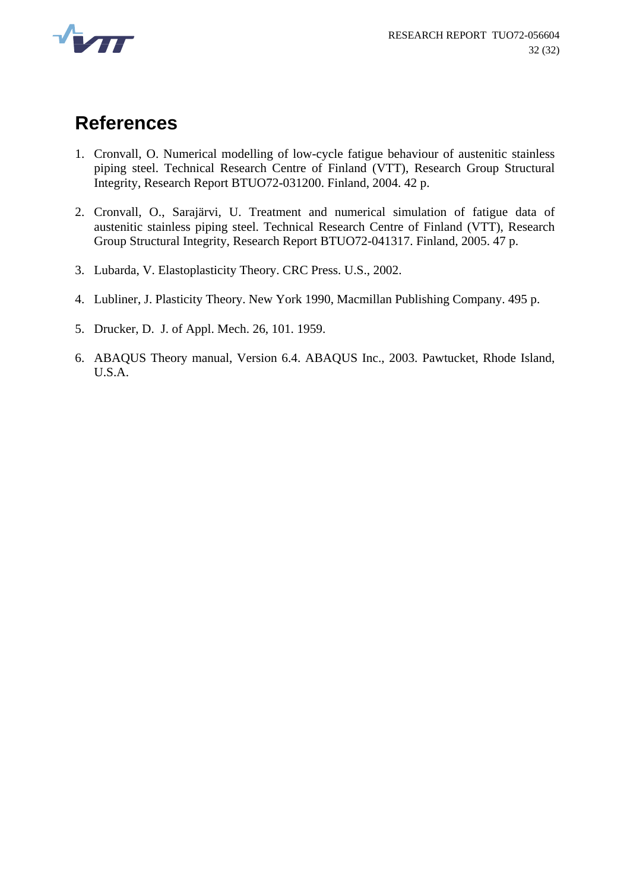

### **References**

- <span id="page-34-0"></span>1. Cronvall, O. Numerical modelling of low-cycle fatigue behaviour of austenitic stainless piping steel. Technical Research Centre of Finland (VTT), Research Group Structural Integrity, Research Report BTUO72-031200. Finland, 2004. 42 p.
- <span id="page-34-1"></span>2. Cronvall, O., Sarajärvi, U. Treatment and numerical simulation of fatigue data of austenitic stainless piping steel. Technical Research Centre of Finland (VTT), Research Group Structural Integrity, Research Report BTUO72-041317. Finland, 2005. 47 p.
- <span id="page-34-2"></span>3. Lubarda, V. Elastoplasticity Theory. CRC Press. U.S., 2002.
- <span id="page-34-3"></span>4. Lubliner, J. Plasticity Theory. New York 1990, Macmillan Publishing Company. 495 p.
- <span id="page-34-4"></span>5. Drucker, D. J. of Appl. Mech. 26, 101. 1959.
- 6. ABAQUS Theory manual, Version 6.4. ABAQUS Inc., 2003. Pawtucket, Rhode Island, U.S.A.